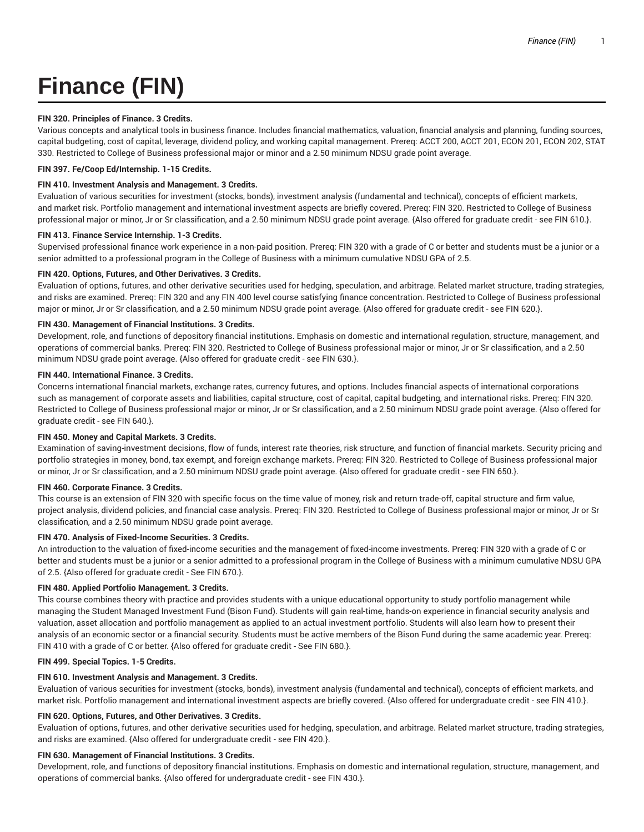# **Finance (FIN)**

## **FIN 320. Principles of Finance. 3 Credits.**

Various concepts and analytical tools in business finance. Includes financial mathematics, valuation, financial analysis and planning, funding sources, capital budgeting, cost of capital, leverage, dividend policy, and working capital management. Prereq: ACCT 200, ACCT 201, ECON 201, ECON 202, STAT 330. Restricted to College of Business professional major or minor and a 2.50 minimum NDSU grade point average.

## **FIN 397. Fe/Coop Ed/Internship. 1-15 Credits.**

## **FIN 410. Investment Analysis and Management. 3 Credits.**

Evaluation of various securities for investment (stocks, bonds), investment analysis (fundamental and technical), concepts of efficient markets, and market risk. Portfolio management and international investment aspects are briefly covered. Prereq: FIN 320. Restricted to College of Business professional major or minor, Jr or Sr classification, and a 2.50 minimum NDSU grade point average. {Also offered for graduate credit - see FIN 610.}.

## **FIN 413. Finance Service Internship. 1-3 Credits.**

Supervised professional finance work experience in a non-paid position. Prereq: FIN 320 with a grade of C or better and students must be a junior or a senior admitted to a professional program in the College of Business with a minimum cumulative NDSU GPA of 2.5.

## **FIN 420. Options, Futures, and Other Derivatives. 3 Credits.**

Evaluation of options, futures, and other derivative securities used for hedging, speculation, and arbitrage. Related market structure, trading strategies, and risks are examined. Prereq: FIN 320 and any FIN 400 level course satisfying finance concentration. Restricted to College of Business professional major or minor, Jr or Sr classification, and a 2.50 minimum NDSU grade point average. {Also offered for graduate credit - see FIN 620.}.

## **FIN 430. Management of Financial Institutions. 3 Credits.**

Development, role, and functions of depository financial institutions. Emphasis on domestic and international regulation, structure, management, and operations of commercial banks. Prereq: FIN 320. Restricted to College of Business professional major or minor, Jr or Sr classification, and a 2.50 minimum NDSU grade point average. {Also offered for graduate credit - see FIN 630.}.

## **FIN 440. International Finance. 3 Credits.**

Concerns international financial markets, exchange rates, currency futures, and options. Includes financial aspects of international corporations such as management of corporate assets and liabilities, capital structure, cost of capital, capital budgeting, and international risks. Prereq: FIN 320. Restricted to College of Business professional major or minor, Jr or Sr classification, and a 2.50 minimum NDSU grade point average. {Also offered for graduate credit - see FIN 640.}.

## **FIN 450. Money and Capital Markets. 3 Credits.**

Examination of saving-investment decisions, flow of funds, interest rate theories, risk structure, and function of financial markets. Security pricing and portfolio strategies in money, bond, tax exempt, and foreign exchange markets. Prereq: FIN 320. Restricted to College of Business professional major or minor, Jr or Sr classification, and a 2.50 minimum NDSU grade point average. {Also offered for graduate credit - see FIN 650.}.

## **FIN 460. Corporate Finance. 3 Credits.**

This course is an extension of FIN 320 with specific focus on the time value of money, risk and return trade-off, capital structure and firm value, project analysis, dividend policies, and financial case analysis. Prereq: FIN 320. Restricted to College of Business professional major or minor, Jr or Sr classification, and a 2.50 minimum NDSU grade point average.

## **FIN 470. Analysis of Fixed-Income Securities. 3 Credits.**

An introduction to the valuation of fixed-income securities and the management of fixed-income investments. Prereq: FIN 320 with a grade of C or better and students must be a junior or a senior admitted to a professional program in the College of Business with a minimum cumulative NDSU GPA of 2.5. {Also offered for graduate credit - See FIN 670.}.

## **FIN 480. Applied Portfolio Management. 3 Credits.**

This course combines theory with practice and provides students with a unique educational opportunity to study portfolio management while managing the Student Managed Investment Fund (Bison Fund). Students will gain real-time, hands-on experience in financial security analysis and valuation, asset allocation and portfolio management as applied to an actual investment portfolio. Students will also learn how to present their analysis of an economic sector or a financial security. Students must be active members of the Bison Fund during the same academic year. Prereq: FIN 410 with a grade of C or better. {Also offered for graduate credit - See FIN 680.}.

## **FIN 499. Special Topics. 1-5 Credits.**

## **FIN 610. Investment Analysis and Management. 3 Credits.**

Evaluation of various securities for investment (stocks, bonds), investment analysis (fundamental and technical), concepts of efficient markets, and market risk. Portfolio management and international investment aspects are briefly covered. {Also offered for undergraduate credit - see FIN 410.}.

## **FIN 620. Options, Futures, and Other Derivatives. 3 Credits.**

Evaluation of options, futures, and other derivative securities used for hedging, speculation, and arbitrage. Related market structure, trading strategies, and risks are examined. {Also offered for undergraduate credit - see FIN 420.}.

## **FIN 630. Management of Financial Institutions. 3 Credits.**

Development, role, and functions of depository financial institutions. Emphasis on domestic and international regulation, structure, management, and operations of commercial banks. {Also offered for undergraduate credit - see FIN 430.}.